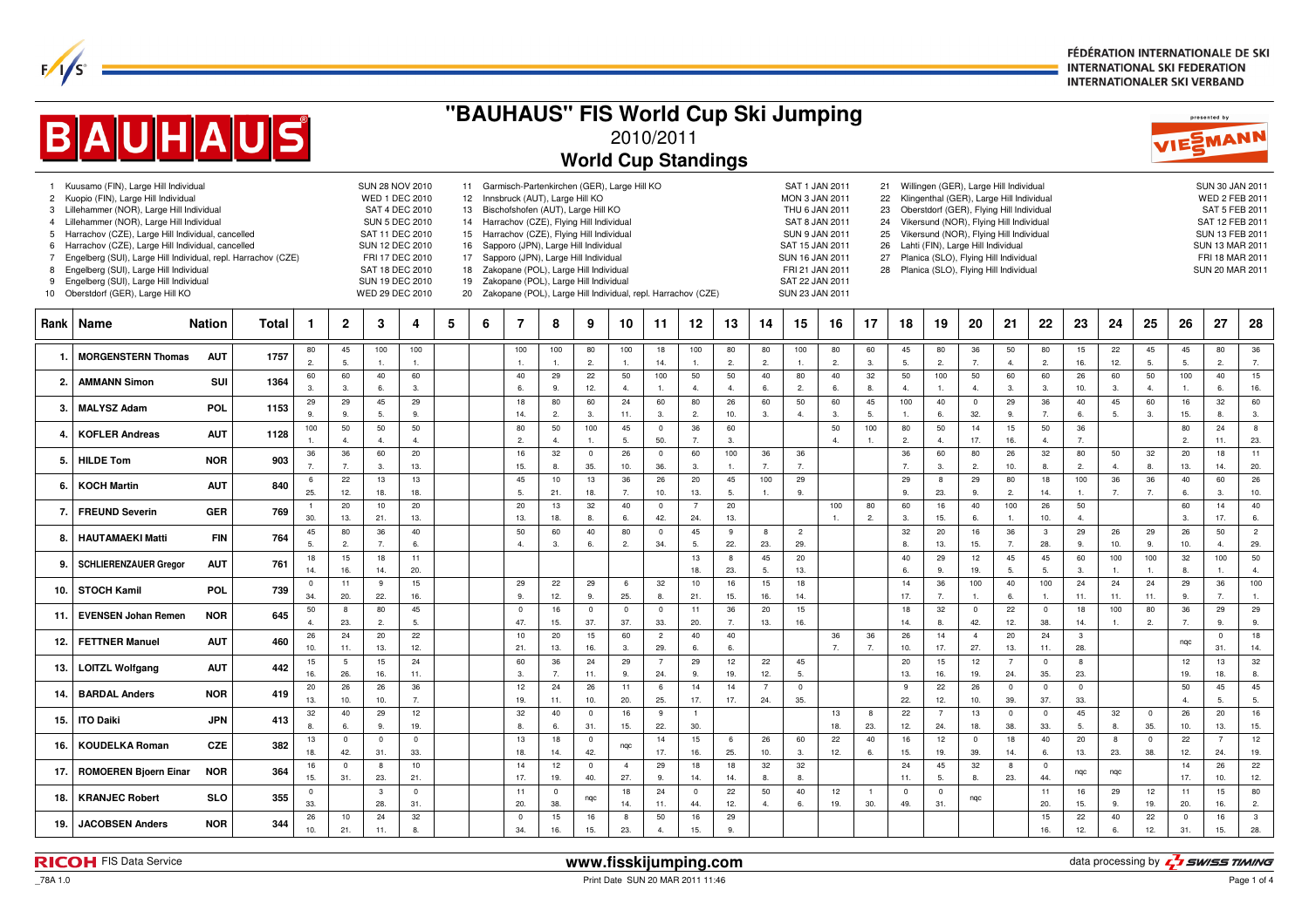FÉDÉRATION INTERNATIONALE DE SKI **INTERNATIONAL SKI FEDERATION INTERNATIONALER SKI VERBAND** 

| "BAUHAUS" FIS World Cup Ski Jumping<br><b>BAUHAUS</b><br>VIESMANN<br>2010/2011                                                                                                                                                   |                                                                                                                                                                                                                                                                                                                                                                                                                                                                                      |               |       |                       |                        |                         |                                                                                                                |   |                      |                                                                                                                                                                                                                                                                                 |                      |                       |                       |                       | presented by          |                       |                         |                        |                                                                                                                                        |                      |                      |                                    |                       |                                                                                                                              |                         |                       |                       |                      |                      |                                                                                                                                                             |                       |
|----------------------------------------------------------------------------------------------------------------------------------------------------------------------------------------------------------------------------------|--------------------------------------------------------------------------------------------------------------------------------------------------------------------------------------------------------------------------------------------------------------------------------------------------------------------------------------------------------------------------------------------------------------------------------------------------------------------------------------|---------------|-------|-----------------------|------------------------|-------------------------|----------------------------------------------------------------------------------------------------------------|---|----------------------|---------------------------------------------------------------------------------------------------------------------------------------------------------------------------------------------------------------------------------------------------------------------------------|----------------------|-----------------------|-----------------------|-----------------------|-----------------------|-----------------------|-------------------------|------------------------|----------------------------------------------------------------------------------------------------------------------------------------|----------------------|----------------------|------------------------------------|-----------------------|------------------------------------------------------------------------------------------------------------------------------|-------------------------|-----------------------|-----------------------|----------------------|----------------------|-------------------------------------------------------------------------------------------------------------------------------------------------------------|-----------------------|
| <b>World Cup Standings</b><br>Kuusamo (FIN), Large Hill Individual<br><b>SUN 28 NOV 2010</b><br>11 Garmisch-Partenkirchen (GER), Large Hill KO<br>SAT 1 JAN 2011<br>21<br>Willingen (GER), Large Hill Individual<br>$\mathbf{1}$ |                                                                                                                                                                                                                                                                                                                                                                                                                                                                                      |               |       |                       |                        |                         |                                                                                                                |   |                      |                                                                                                                                                                                                                                                                                 |                      |                       |                       |                       |                       |                       |                         |                        |                                                                                                                                        |                      |                      |                                    |                       |                                                                                                                              |                         |                       |                       |                      |                      |                                                                                                                                                             |                       |
|                                                                                                                                                                                                                                  | Kuopio (FIN), Large Hill Individual<br>WED 1 DEC 2010<br>Innsbruck (AUT), Large Hill KO<br>22<br>Klingenthal (GER), Large Hill Individual<br>12 <sup>2</sup><br>MON 3 JAN 2011<br>Oberstdorf (GER), Flying Hill Individual<br>Lillehammer (NOR), Large Hill Individual<br>SAT 4 DEC 2010<br>Bischofshofen (AUT), Large Hill KO<br>23<br>13<br>THU 6 JAN 2011<br>Vikersund (NOR), Flying Hill Individual<br><b>SUN 5 DEC 2010</b><br>14 Harrachov (CZE), Flying Hill Individual<br>24 |               |       |                       |                        |                         |                                                                                                                |   |                      |                                                                                                                                                                                                                                                                                 |                      |                       |                       |                       |                       |                       |                         |                        |                                                                                                                                        |                      |                      |                                    |                       |                                                                                                                              |                         |                       |                       |                      |                      |                                                                                                                                                             |                       |
| $\overline{2}$<br>3<br>$\overline{4}$<br>5<br>6<br>7<br>8<br>9<br>10                                                                                                                                                             | Lillehammer (NOR), Large Hill Individual<br>Harrachov (CZE), Large Hill Individual, cancelled<br>Harrachov (CZE), Large Hill Individual, cancelled<br>Engelberg (SUI), Large Hill Individual, repl. Harrachov (CZE)<br>Engelberg (SUI), Large Hill Individual<br>Engelberg (SUI), Large Hill Individual<br>Oberstdorf (GER), Large Hill KO                                                                                                                                           |               |       |                       |                        |                         | SAT 11 DEC 2010<br>SUN 12 DEC 2010<br>FRI 17 DEC 2010<br>SAT 18 DEC 2010<br>SUN 19 DEC 2010<br>WED 29 DEC 2010 |   | 16<br>17<br>18<br>19 | 15 Harrachov (CZE), Flying Hill Individual<br>Sapporo (JPN), Large Hill Individual<br>Sapporo (JPN), Large Hill Individual<br>Zakopane (POL), Large Hill Individual<br>Zakopane (POL), Large Hill Individual<br>20 Zakopane (POL), Large Hill Individual, repl. Harrachov (CZE) |                      |                       |                       |                       |                       |                       |                         |                        | SAT 8 JAN 2011<br><b>SUN 9 JAN 2011</b><br>SAT 15 JAN 2011<br>SUN 16 JAN 2011<br>FRI 21 JAN 2011<br>SAT 22 JAN 2011<br>SUN 23 JAN 2011 |                      | 25<br>26<br>27       | Lahti (FIN), Large Hill Individual |                       | Vikersund (NOR), Flying Hill Individual<br>Planica (SLO), Flying Hill Individual<br>28 Planica (SLO), Flying Hill Individual |                         |                       |                       |                      |                      | <b>SUN 30 JAN 201</b><br>WED 2 FEB 201<br>SAT 5 FEB 2011<br>SAT 12 FEB 2011<br><b>SUN 13 FEB 201</b><br>SUN 13 MAR 201<br>FRI 18 MAR 201<br>SUN 20 MAR 2011 |                       |
| Rank                                                                                                                                                                                                                             | Name                                                                                                                                                                                                                                                                                                                                                                                                                                                                                 | <b>Nation</b> | Total | -1                    | $\overline{2}$         | 3                       | 4                                                                                                              | 5 | 6                    | 7                                                                                                                                                                                                                                                                               | 8                    | 9                     | 10                    | 11                    | 12                    | 13                    | 14                      | 15                     | 16                                                                                                                                     | 17                   | 18                   | 19                                 | 20                    | 21                                                                                                                           | 22                      | 23                    | 24                    | 25                   | 26                   | 27                                                                                                                                                          | 28                    |
|                                                                                                                                                                                                                                  | <b>MORGENSTERN Thomas</b>                                                                                                                                                                                                                                                                                                                                                                                                                                                            | <b>AUT</b>    | 1757  | 80<br>$\overline{2}$  | 45<br>5.               | 100<br>$\overline{1}$ . | 100<br>$\mathbf{1}$                                                                                            |   |                      | 100<br>$\overline{1}$ .                                                                                                                                                                                                                                                         | 100<br>1             | 80<br>$\overline{2}$  | 100<br>1.             | 18<br>14.             | 100<br>$\mathbf{1}$   | 80<br>2.              | 80<br>$\overline{2}$    | 100<br>$\mathbf{1}$    | 80<br>$\overline{2}$                                                                                                                   | 60<br>3.             | 45<br>5.             | 80<br>2.                           | 36<br>7.              | 50<br>$\overline{4}$                                                                                                         | 80<br>$\overline{2}$    | 15<br>16.             | 22<br>12.             | 45<br>5.             | 45<br>5.             | 80<br>2.                                                                                                                                                    | 36<br>7.              |
| 2.                                                                                                                                                                                                                               | <b>AMMANN Simon</b>                                                                                                                                                                                                                                                                                                                                                                                                                                                                  | SUI           | 1364  | 60<br>$\mathbf{3}$    | 60<br>3.               | 40<br>6.                | 60<br>$\mathbf{3}$                                                                                             |   |                      | 40<br>6.                                                                                                                                                                                                                                                                        | 29<br>$\mathbf{q}$   | 22<br>12.             | 50<br>$\mathbf{A}$    | 100<br>$\overline{1}$ | 50<br>$\Delta$        | 50<br>4.              | 40<br>6.                | 80<br>$\overline{2}$   | 40<br>6.                                                                                                                               | 32<br><b>R</b>       | 50<br>$\Delta$       | 100<br>$\mathbf{1}$                | 50<br>$\overline{4}$  | 60<br>$\mathbf{3}$                                                                                                           | 60<br>$\mathbf{3}$      | 26<br>10.             | 60<br>$\mathbf{3}$    | 50<br>$\Delta$       | 100<br>1.            | 40<br>6.                                                                                                                                                    | 15<br>16.             |
| З.                                                                                                                                                                                                                               | <b>MALYSZ Adam</b>                                                                                                                                                                                                                                                                                                                                                                                                                                                                   | POL           | 1153  | 29<br>9.              | 29<br>9.               | 45<br>5.                | 29<br>9.                                                                                                       |   |                      | 18<br>14.                                                                                                                                                                                                                                                                       | 80<br>$\overline{c}$ | 60<br>$\mathbf{3}$    | 24<br>11.             | 60<br>3.              | 80<br>$\overline{2}$  | 26<br>10.             | 60<br>3.                | 50<br>$\overline{4}$ . | 60<br>3.                                                                                                                               | 45<br>5.             | 100<br>1.            | 40<br>6.                           | $\mathbf 0$<br>32.    | 29<br>9.                                                                                                                     | 36<br>$\overline{7}$    | 40<br>6.              | 45<br>5.              | 60<br>3.             | 16<br>15.            | 32<br>8.                                                                                                                                                    | 60<br>3.              |
|                                                                                                                                                                                                                                  | <b>KOFLER Andreas</b>                                                                                                                                                                                                                                                                                                                                                                                                                                                                | <b>AUT</b>    | 1128  | 100                   | 50<br>$\overline{4}$ . | $50\,$<br>4.            | 50<br>4.                                                                                                       |   |                      | 80<br>$\overline{2}$                                                                                                                                                                                                                                                            | 50<br>$\overline{a}$ | 100<br>$\overline{1}$ | 45<br>5.              | $\mathbf 0$<br>50.    | 36<br>7.              | 60<br>3.              |                         |                        | 50<br>$\Delta$                                                                                                                         | 100                  | 80<br>$\overline{2}$ | 50<br>4.                           | 14<br>17.             | 15<br>16.                                                                                                                    | 50<br>4.                | 36<br>$\overline{7}$  |                       |                      | 80<br>$\overline{2}$ | 24<br>11.                                                                                                                                                   | 8<br>23.              |
| 5.                                                                                                                                                                                                                               | <b>HILDE Tom</b>                                                                                                                                                                                                                                                                                                                                                                                                                                                                     | <b>NOR</b>    | 903   | 36<br>7.              | 36<br>7.               | 60<br>3.                | 20<br>13.                                                                                                      |   |                      | 16<br>15.                                                                                                                                                                                                                                                                       | 32<br>8              | $\mathbf 0$<br>35.    | 26<br>10.             | $\mathbf 0$<br>36.    | 60<br>3.              | 100<br>$\overline{1}$ | 36<br>$\overline{7}$    | 36<br>7.               |                                                                                                                                        |                      | 36<br>$\overline{7}$ | 60<br>3.                           | 80<br>$\overline{2}$  | 26<br>10.                                                                                                                    | 32<br>8.                | 80<br>2.              | 50<br>$\overline{4}$  | 32<br>8.             | 20<br>13.            | 18<br>14.                                                                                                                                                   | 11<br>20.             |
| 6.                                                                                                                                                                                                                               | <b>KOCH Martin</b>                                                                                                                                                                                                                                                                                                                                                                                                                                                                   | <b>AUT</b>    | 840   | 6<br>25.              | 22<br>12.              | 13<br>18.               | 13<br>18.                                                                                                      |   |                      | 45<br>5.                                                                                                                                                                                                                                                                        | 10<br>21.            | 13<br>18.             | 36<br>$\overline{7}$  | 26<br>10.             | 20<br>13.             | 45<br>5.              | 100<br>1.               | 29<br>9.               |                                                                                                                                        |                      | 29<br>9.             | 8<br>23.                           | 29<br>9.              | 80<br>$\overline{2}$                                                                                                         | 18<br>14.               | 100<br>$\overline{1}$ | 36<br>$\overline{7}$  | 36<br>$\overline{7}$ | 40<br>6.             | 60<br>3.                                                                                                                                                    | 26<br>10.             |
| 7.                                                                                                                                                                                                                               | <b>FREUND Severin</b>                                                                                                                                                                                                                                                                                                                                                                                                                                                                | <b>GER</b>    | 769   | $\overline{1}$<br>30. | 20<br>13.              | 10<br>21.               | $20\,$<br>13.                                                                                                  |   |                      | 20<br>13.                                                                                                                                                                                                                                                                       | 13<br>18.            | 32<br>8.              | 40<br>6.              | $\mathbf 0$<br>42.    | $\overline{7}$<br>24. | 20<br>13.             |                         |                        | 100                                                                                                                                    | 80<br>$\overline{2}$ | 60<br>3.             | 16<br>15.                          | 40<br>6.              | 100<br>$\overline{1}$ .                                                                                                      | 26<br>10.               | 50<br>$\overline{4}$  |                       |                      | 60<br>3.             | 14<br>17.                                                                                                                                                   | 40<br>6.              |
| 8                                                                                                                                                                                                                                | <b>HAUTAMAEKI Matti</b>                                                                                                                                                                                                                                                                                                                                                                                                                                                              | <b>FIN</b>    | 764   | $45\,$<br>5.          | 80<br>2.               | $36\,$<br>7.            | 40<br>6.                                                                                                       |   |                      | 50<br>4.                                                                                                                                                                                                                                                                        | 60<br>3.             | 40<br>6.              | 80<br>2.              | $\mathbf 0$<br>34.    | 45<br>5.              | 9<br>22.              | $\boldsymbol{8}$<br>23. | $\overline{c}$<br>29.  |                                                                                                                                        |                      | 32<br>8.             | 20<br>13.                          | 16<br>15.             | 36<br>7.                                                                                                                     | $\mathbf{3}$<br>28.     | 29<br>9.              | 26<br>10.             | 29<br>9.             | 26<br>10.            | 50<br>4.                                                                                                                                                    | $\overline{c}$<br>29. |
| 9.                                                                                                                                                                                                                               | <b>SCHLIERENZAUER Gregor</b>                                                                                                                                                                                                                                                                                                                                                                                                                                                         | <b>AUT</b>    | 761   | 18<br>14.             | 15<br>16.              | 18<br>14.               | 11<br>20.                                                                                                      |   |                      |                                                                                                                                                                                                                                                                                 |                      |                       |                       |                       | 13<br>18.             | 8<br>23.              | 45<br>5.                | 20<br>13.              |                                                                                                                                        |                      | 40<br>6.             | 29<br>9.                           | 12<br>19.             | 45<br>5.                                                                                                                     | 45<br>5.                | 60<br>3.              | 100<br>$\overline{1}$ | 100<br>$\mathbf{1}$  | 32<br>8.             | 100<br>1.                                                                                                                                                   | 50<br>4 <sub>1</sub>  |
| 10.                                                                                                                                                                                                                              | <b>STOCH Kamil</b>                                                                                                                                                                                                                                                                                                                                                                                                                                                                   | POL           | 739   | $\mathbf 0$<br>34.    | 11<br>20.              | 9<br>22.                | 15<br>16.                                                                                                      |   |                      | 29<br>9.                                                                                                                                                                                                                                                                        | 22<br>12.            | 29<br>9.              | 6<br>25.              | 32<br>8.              | 10<br>21.             | 16<br>15.             | 15<br>16.               | 18<br>14.              |                                                                                                                                        |                      | 14<br>17.            | 36<br>$\overline{7}$               | 100<br>$\overline{1}$ | 40<br>6.                                                                                                                     | 100<br>$\overline{1}$ . | 24<br>11.             | 24<br>11.             | 24<br>11.            | 29<br>9.             | 36<br>7 <sub>1</sub>                                                                                                                                        | 100<br>$\mathbf{1}$ . |
| 11.                                                                                                                                                                                                                              | <b>EVENSEN Johan Remen</b>                                                                                                                                                                                                                                                                                                                                                                                                                                                           | <b>NOR</b>    | 645   | $50\,$<br>4.          | 8<br>23.               | $80\,$<br>2.            | 45<br>5.                                                                                                       |   |                      | $\overline{0}$<br>47.                                                                                                                                                                                                                                                           | 16<br>15.            | $\mathbf 0$<br>37.    | $\mathbf 0$<br>37.    | $\mathbf 0$<br>33.    | 11<br>20.             | 36<br>7.              | 20<br>13.               | 15<br>16.              |                                                                                                                                        |                      | 18<br>14.            | $32\,$<br>8.                       | $\overline{0}$<br>42. | 22<br>12.                                                                                                                    | $\mathbf 0$<br>38.      | 18<br>14.             | 100<br>$\mathbf{1}$   | 80<br>$\overline{2}$ | 36<br>7.             | 29<br>9.                                                                                                                                                    | 29<br>9.              |
| 12.                                                                                                                                                                                                                              | <b>FETTNER Manuel</b>                                                                                                                                                                                                                                                                                                                                                                                                                                                                | <b>AUT</b>    | 460   | 26<br>10.             | 24<br>11.              | $20\,$<br>13.           | 22<br>12.                                                                                                      |   |                      | 10<br>21.                                                                                                                                                                                                                                                                       | 20<br>13.            | 15<br>16.             | 60<br>3.              | $\overline{c}$<br>29. | 40<br>6.              | 40<br>6.              |                         |                        | 36<br>$\overline{7}$                                                                                                                   | 36<br>7.             | 26<br>10.            | 14<br>17.                          | $\overline{4}$<br>27. | 20<br>13.                                                                                                                    | 24<br>11.               | 3<br>28.              |                       |                      | nqc                  | $\mathbf 0$<br>31.                                                                                                                                          | 18<br>14.             |
| 13.                                                                                                                                                                                                                              | <b>LOITZL Wolfgang</b>                                                                                                                                                                                                                                                                                                                                                                                                                                                               | <b>AUT</b>    | 442   | 15<br>16.             | $5\phantom{.0}$<br>26. | 15<br>16.               | 24<br>11.                                                                                                      |   |                      | 60<br>$\mathbf{3}$                                                                                                                                                                                                                                                              | 36<br>$\overline{7}$ | 24<br>11.             | 29<br>9.              | $\overline{7}$<br>24. | 29<br>9.              | 12<br>19.             | 22<br>12.               | 45<br>5.               |                                                                                                                                        |                      | 20<br>13.            | 15<br>16.                          | 12<br>19.             | $\overline{7}$<br>24.                                                                                                        | $\mathbf 0$<br>35.      | $\mathbf{g}$<br>23.   |                       |                      | 12<br>19.            | 13<br>18.                                                                                                                                                   | 32<br>8.              |
| 14.                                                                                                                                                                                                                              | <b>BARDAL Anders</b>                                                                                                                                                                                                                                                                                                                                                                                                                                                                 | <b>NOR</b>    | 419   | 20<br>13.             | 26<br>10.              | 26<br>10.               | 36<br>$\overline{7}$                                                                                           |   |                      | 12<br>19.                                                                                                                                                                                                                                                                       | 24<br>11.            | 26<br>10.             | 11<br>20.             | 6<br>25.              | 14<br>17.             | 14<br>17.             | $\overline{7}$<br>24.   | $\mathbf 0$<br>35.     |                                                                                                                                        |                      | 9<br>22.             | 22<br>12.                          | 26<br>10.             | $\overline{0}$<br>39.                                                                                                        | $\overline{0}$<br>37.   | $\mathbf 0$<br>33.    |                       |                      | 50<br>$\overline{4}$ | 45<br>5.                                                                                                                                                    | 45<br>5.              |
| 15.                                                                                                                                                                                                                              | <b>ITO Daiki</b>                                                                                                                                                                                                                                                                                                                                                                                                                                                                     | <b>JPN</b>    | 413   | 32<br>8.              | 40<br>6.               | 29<br>9.                | 12<br>19.                                                                                                      |   |                      | 32<br>8.                                                                                                                                                                                                                                                                        | 40<br>ĥ.             | $\overline{0}$<br>31. | 16<br>15.             | 9<br>22.              | $\overline{1}$<br>30. |                       |                         |                        | 13<br>18.                                                                                                                              | -8<br>23.            | 22<br>12.            | $\overline{7}$<br>24.              | 13<br>18.             | $\overline{0}$<br>38.                                                                                                        | $\overline{0}$<br>33.   | 45<br>5.              | 32<br>8               | $\mathbf 0$<br>35.   | 26<br>10.            | 20<br>13.                                                                                                                                                   | 16<br>15.             |
| 16.                                                                                                                                                                                                                              | <b>KOUDELKA Roman</b>                                                                                                                                                                                                                                                                                                                                                                                                                                                                | <b>CZE</b>    | 382   | 13<br>18.             | $\mathbf 0$<br>42.     | $\mathbf 0$<br>31.      | $\mathbf 0$<br>33.                                                                                             |   |                      | 13<br>18.                                                                                                                                                                                                                                                                       | 18<br>14.            | $\mathbf 0$<br>42.    | nqc                   | 14<br>17.             | 15<br>16.             | 6<br>25.              | 26<br>10.               | 60<br>3.               | 22<br>12.                                                                                                                              | 40<br>6.             | 16<br>15.            | 12<br>19.                          | $\overline{0}$<br>39. | 18<br>14.                                                                                                                    | 40<br>6.                | 20<br>13.             | 8<br>23.              | $\mathbf 0$<br>38.   | 22<br>12.            | $\overline{7}$<br>24.                                                                                                                                       | 12<br>19.             |
| 17.                                                                                                                                                                                                                              | <b>ROMOEREN Bjoern Einar</b>                                                                                                                                                                                                                                                                                                                                                                                                                                                         | <b>NOR</b>    | 364   | 16<br>15.             | $\mathbf 0$<br>31.     | 8<br>23.                | 10<br>21.                                                                                                      |   |                      | 14<br>17.                                                                                                                                                                                                                                                                       | 12<br>19.            | $\mathbf 0$<br>40.    | $\overline{4}$<br>27. | 29<br>9.              | 18<br>14.             | 18<br>14.             | 32<br>8.                | 32<br>8.               |                                                                                                                                        |                      | 24<br>11.            | 45<br>5.                           | 32<br>8.              | $\mathbf{g}$<br>23.                                                                                                          | $\overline{0}$<br>44.   | nqc                   | nqc                   |                      | 14<br>17.            | 26<br>10.                                                                                                                                                   | 22<br>12.             |
| 18.                                                                                                                                                                                                                              | <b>KRANJEC Robert</b>                                                                                                                                                                                                                                                                                                                                                                                                                                                                | <b>SLO</b>    | 355   | $^{\circ}$<br>33.     |                        | $\mathbf{3}$<br>28.     | $\mathsf 0$<br>31.                                                                                             |   |                      | 11<br>20.                                                                                                                                                                                                                                                                       | $\mathbf 0$<br>38.   | nqc                   | 18<br>14.             | 24<br>11.             | $\mathbf 0$<br>44.    | 22<br>12.             | 50<br>4.                | 40<br>6.               | 12<br>19.                                                                                                                              | 30.                  | $\mathbf 0$<br>49.   | $\mathbf 0$<br>31.                 | ngc                   |                                                                                                                              | 11<br>20.               | 16<br>15.             | 29<br>9.              | 12<br>19.            | 11<br>20.            | 15<br>16.                                                                                                                                                   | 80<br>2.              |
| 19.                                                                                                                                                                                                                              | <b>JACOBSEN Anders</b>                                                                                                                                                                                                                                                                                                                                                                                                                                                               | <b>NOR</b>    | 344   | 26<br>10.             | 10<br>21.              | 24<br>11.               | 32<br>8.                                                                                                       |   |                      | $\overline{\mathbf{0}}$<br>34.                                                                                                                                                                                                                                                  | 15<br>16.            | 16<br>15.             | 8<br>23.              | 50<br>$\overline{4}$  | 16<br>15.             | 29<br>9.              |                         |                        |                                                                                                                                        |                      |                      |                                    |                       |                                                                                                                              | 15<br>16.               | 22<br>12.             | 40<br>6.              | 22<br>12.            | $\mathbf 0$<br>31.   | 16<br>15.                                                                                                                                                   | 3<br>28               |

**RICOH** FIS Data Service **www.fisskijumping.com** 

data processing by  $I$  swiss TIMING

 $F/1/s^2$ 

Print Date SUN 20 MAR 2011 11:46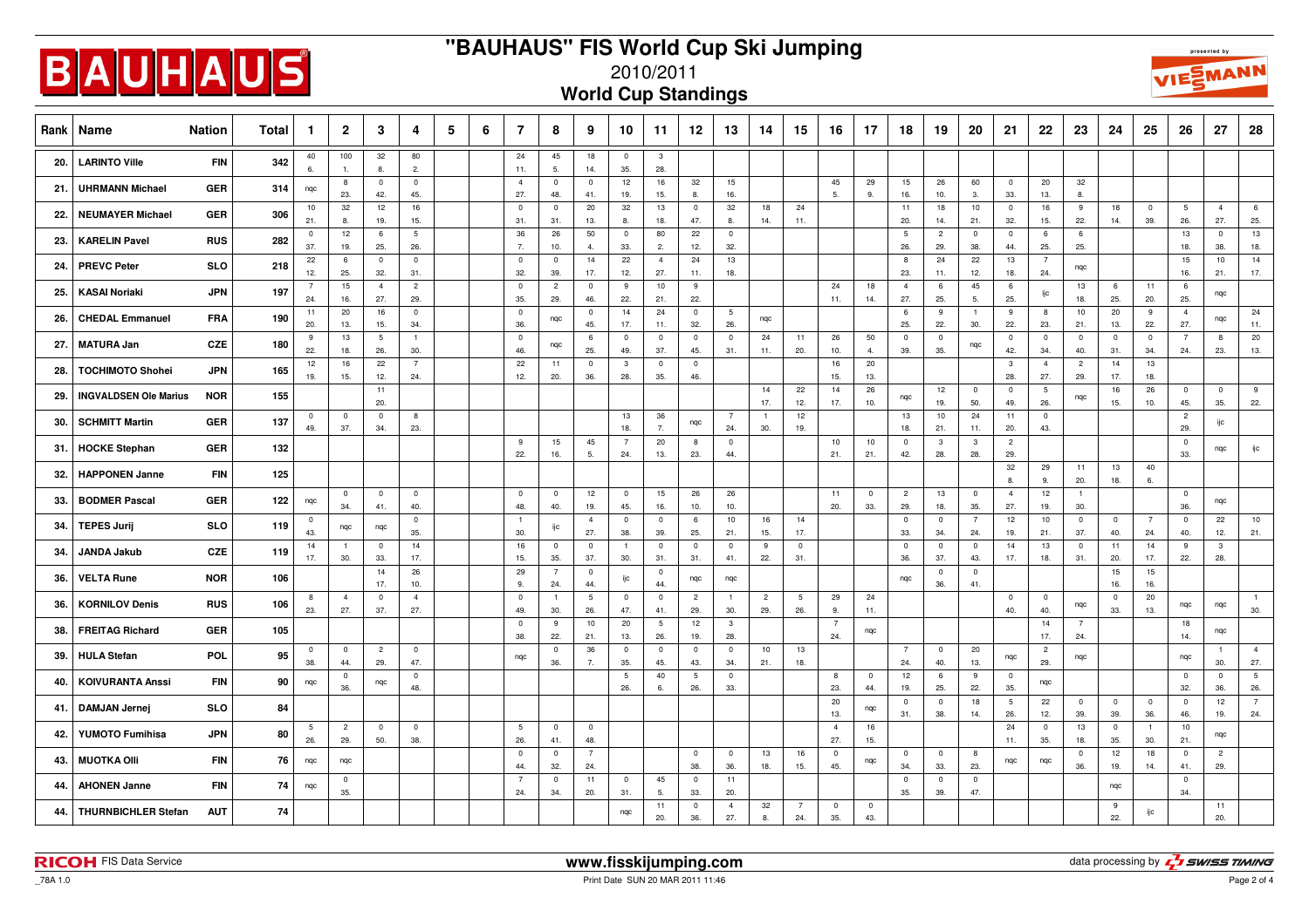

## **"BAUHAUS" FIS World Cup Ski Jumping**



2010/2011

**World Cup Standings**

| Rank | Name                         | <b>Nation</b> | Total | -1                    | $\overline{2}$        | 3                      | 4                      | 5 | 6 | 7                              | 8                     | 9                     | 10                    | 11                    | 12 <sup>°</sup>        | 13                    | 14                    | 15             | 16                             | 17                    | 18                     | 19                    | 20                    | 21                     | 22                     | 23                             | 24                 | 25                             | 26                    | 27                             | 28                     |
|------|------------------------------|---------------|-------|-----------------------|-----------------------|------------------------|------------------------|---|---|--------------------------------|-----------------------|-----------------------|-----------------------|-----------------------|------------------------|-----------------------|-----------------------|----------------|--------------------------------|-----------------------|------------------------|-----------------------|-----------------------|------------------------|------------------------|--------------------------------|--------------------|--------------------------------|-----------------------|--------------------------------|------------------------|
| 20.  | <b>LARINTO Ville</b>         | <b>FIN</b>    | 342   | 40<br>6.              | 100<br>1.             | 32<br>8.               | 80<br>2.               |   |   | 24<br>11.                      | 45<br>5.              | 18<br>14.             | $\mathbf 0$<br>35.    | $\mathbf{3}$<br>28.   |                        |                       |                       |                |                                |                       |                        |                       |                       |                        |                        |                                |                    |                                |                       |                                |                        |
| 21.  | <b>UHRMANN Michael</b>       | <b>GER</b>    | 314   | ngc                   | 8<br>23.              | $\overline{0}$<br>42.  | $\mathbf{0}$<br>45.    |   |   | $\overline{4}$<br>27.          | $\mathbf 0$<br>48.    | $\overline{0}$<br>41. | 12<br>19.             | 16<br>15.             | 32<br>8.               | 15<br>16.             |                       |                | 45<br>5.                       | 29<br>9.              | 15<br>16.              | 26<br>10.             | 60<br>3.              | $\mathbf 0$<br>33.     | 20<br>13.              | 32<br>8.                       |                    |                                |                       |                                |                        |
| 22.  | <b>NEUMAYER Michael</b>      | <b>GER</b>    | 306   | 10<br>21.             | 32<br>8.              | 12<br>19.              | 16<br>15.              |   |   | $\overline{\mathbf{0}}$<br>31. | $\mathbf 0$<br>31.    | 20<br>13.             | 32<br>8.              | 13<br>18.             | $\overline{0}$<br>47.  | 32<br>8.              | 18<br>14.             | 24<br>11.      |                                |                       | 11<br>20.              | 18<br>14.             | 10<br>21.             | $\mathsf 0$<br>32.     | 16<br>15.              | 9<br>22.                       | 18<br>14.          | $\overline{\mathbf{0}}$<br>39. | $\overline{5}$<br>26. | $\overline{4}$<br>27.          | 6<br>25.               |
| 23.  | <b>KARELIN Pavel</b>         | <b>RUS</b>    | 282   | $\mathbf 0$<br>37.    | 12<br>19.             | 6<br>25.               | $5\phantom{.0}$<br>26. |   |   | 36<br>7.                       | 26<br>10.             | 50<br>$\overline{4}$  | $\overline{0}$<br>33. | 80<br>2.              | 22<br>12.              | $\pmb{0}$<br>32.      |                       |                |                                |                       | $5\phantom{.0}$<br>26. | $\overline{2}$<br>29. | $\pmb{0}$<br>38.      | $\mathsf 0$<br>44.     | 6<br>25.               | 6<br>25.                       |                    |                                | 13<br>18.             | $\overline{0}$<br>38.          | 13<br>18.              |
| 24.  | <b>PREVC Peter</b>           | <b>SLO</b>    | 218   | 22<br>12.             | 6<br>25.              | $\mathbf 0$<br>32.     | $\overline{0}$<br>31.  |   |   | $\overline{0}$<br>32.          | $\mathbf 0$<br>39.    | 14<br>17.             | 22<br>12.             | $\overline{4}$<br>27. | 24<br>11.              | 13<br>18.             |                       |                |                                |                       | 8<br>23.               | 24<br>11.             | 22<br>12.             | 13<br>18.              | $\overline{7}$<br>24.  | nqc                            |                    |                                | 15<br>16.             | 10<br>21.                      | 14<br>17.              |
| 25.  | <b>KASAI Noriaki</b>         | <b>JPN</b>    | 197   | $\overline{7}$<br>24. | 15<br>16.             | $\overline{4}$<br>27.  | $\overline{2}$<br>29.  |   |   | $^{\circ}$<br>35.              | $\overline{c}$<br>29. | $\overline{0}$<br>46. | 9<br>22.              | 10<br>21.             | 9<br>22.               |                       |                       |                | 24<br>11.                      | 18<br>14.             | $\overline{4}$<br>27.  | 6<br>25.              | 45<br>5.              | 6<br>25.               | ijс                    | 13<br>18.                      | -6<br>25.          | 11<br>20.                      | 6<br>25.              | ngc                            |                        |
| 26.  | <b>CHEDAL Emmanuel</b>       | <b>FRA</b>    | 190   | 11<br>20.             | 20<br>13.             | 16<br>15.              | $\overline{0}$<br>34.  |   |   | $^{\circ}$<br>36.              | nqc                   | $\mathbf{0}$<br>45.   | 14<br>17.             | 24<br>11.             | $\overline{0}$<br>32.  | 5<br>26.              | nqc                   |                |                                |                       | 6<br>25.               | 9<br>22.              | 30.                   | 9<br>22.               | 8<br>23.               | 10<br>21.                      | 20<br>13.          | 9<br>22.                       | $\overline{4}$<br>27. | nqc                            | 24<br>11.              |
| 27.  | <b>MATURA Jan</b>            | <b>CZE</b>    | 180   | -9<br>22.             | 13<br>18.             | $5\phantom{.0}$<br>26. | $\overline{1}$<br>30.  |   |   | $\overline{0}$<br>46.          | nqc                   | - 6<br>25.            | $\overline{0}$<br>49. | $\overline{0}$<br>37. | $\overline{0}$<br>45.  | $\overline{0}$<br>31. | 24<br>11.             | 11<br>20.      | 26<br>10.                      | 50<br>$\overline{4}$  | $\overline{0}$<br>39.  | $\mathbf 0$<br>35.    | nqc                   | $\overline{0}$<br>42.  | $\overline{0}$<br>34.  | $\overline{0}$<br>40.          | $\mathbf 0$<br>31. | $\overline{0}$<br>34.          | $\overline{7}$<br>24. | 8<br>23.                       | 20<br>13.              |
| 28.  | <b>TOCHIMOTO Shohei</b>      | JPN           | 165   | 12<br>19.             | 16<br>15.             | 22<br>12.              | $\overline{7}$<br>24.  |   |   | 22<br>12.                      | 11<br>20.             | $\mathbf 0$<br>36.    | $\mathbf{3}$<br>28.   | $\mathbf 0$<br>35.    | $\mathbf 0$<br>46.     |                       |                       |                | 16<br>15.                      | 20<br>13.             |                        |                       |                       | $\overline{3}$<br>28.  | $\overline{4}$<br>27.  | $\overline{2}$<br>29.          | 14<br>17.          | 13<br>18.                      |                       |                                |                        |
| 29.  | <b>INGVALDSEN Ole Marius</b> | <b>NOR</b>    | 155   |                       |                       | 11<br>20.              |                        |   |   |                                |                       |                       |                       |                       |                        |                       | 14<br>17.             | 22<br>12.      | 14<br>17.                      | 26<br>10.             | nqc                    | 12<br>19.             | $\pmb{0}$<br>50.      | $\overline{0}$<br>49.  | $5\phantom{.0}$<br>26. | nqc                            | 16<br>15.          | 26<br>10.                      | $\overline{0}$<br>45. | $\overline{\mathbf{0}}$<br>35. | 9<br>22.               |
| 30.  | <b>SCHMITT Martin</b>        | <b>GER</b>    | 137   | $\mathbf 0$<br>49.    | $\overline{0}$<br>37. | $\mathbf 0$<br>34.     | 8<br>23.               |   |   |                                |                       |                       | 13<br>18.             | 36<br>7.              | nqc                    | $\overline{7}$<br>24. | $\overline{1}$<br>30. | 12<br>19.      |                                |                       | 13<br>18.              | $10$<br>21.           | 24<br>11.             | 11<br>20.              | $\overline{0}$<br>43.  |                                |                    |                                | $\overline{c}$<br>29. | ijc                            |                        |
| 31.  | <b>HOCKE Stephan</b>         | <b>GER</b>    | 132   |                       |                       |                        |                        |   |   | 9<br>22.                       | 15<br>16.             | 45<br>5.              | $\overline{7}$<br>24. | 20<br>13.             | 8<br>23.               | $\mathbf 0$<br>44.    |                       |                | 10<br>21.                      | 10<br>21.             | $\mathbf 0$<br>42.     | $\mathbf{3}$<br>28.   | $\mathbf{3}$<br>28.   | $\overline{c}$<br>29.  |                        |                                |                    |                                | $\overline{0}$<br>33. | ngc                            | ijс                    |
| 32.  | <b>HAPPONEN Janne</b>        | <b>FIN</b>    | 125   |                       |                       |                        |                        |   |   |                                |                       |                       |                       |                       |                        |                       |                       |                |                                |                       |                        |                       |                       | 32<br>8.               | 29<br>9.               | 11<br>20.                      | 13<br>18.          | 40<br>6.                       |                       |                                |                        |
| 33.  | <b>BODMER Pascal</b>         | <b>GER</b>    | 122   | nqc                   | $\mathbf 0$<br>34.    | $\overline{0}$<br>41.  | $\overline{0}$<br>40.  |   |   | $\overline{0}$<br>48.          | $\mathbf 0$<br>40.    | 12<br>19.             | $\overline{0}$<br>45. | 15<br>16.             | 26<br>10.              | 26<br>10.             |                       |                | 11<br>20.                      | $\overline{0}$<br>33. | $\overline{2}$<br>29.  | 13<br>18.             | $\overline{0}$<br>35. | $\overline{4}$<br>27.  | 12<br>19.              | $\overline{1}$<br>30.          |                    |                                | $\overline{0}$<br>36. | nqc                            |                        |
| 34.  | <b>TEPES Jurij</b>           | <b>SLO</b>    | 119   | $\mathbf 0$<br>43.    | nqc                   | nqc                    | $\overline{0}$<br>35.  |   |   | $\overline{1}$<br>30.          | ijс                   | $\overline{4}$<br>27. | $\overline{0}$<br>38. | $\overline{0}$<br>39. | 6<br>25.               | 10<br>21.             | 16                    | 14<br>17.      |                                |                       | $\overline{0}$<br>33.  | $\overline{0}$<br>34. | $\overline{7}$<br>24. | 12<br>19.              | 10<br>21.              | $\overline{0}$<br>37.          | $\mathbf 0$<br>40. | $\overline{7}$<br>24.          | $\overline{0}$<br>40. | 22<br>12.                      | 10                     |
| 34.  | JANDA Jakub                  | <b>CZE</b>    | 119   | 14<br>17.             | $\overline{1}$<br>30. | $\overline{0}$<br>33.  | 14<br>17.              |   |   | 16                             | $\mathbf 0$           | $\overline{0}$        | $\overline{1}$        | $\overline{0}$        | $\mathbf 0$            | $\overline{0}$        | 15.<br>9              | $\mathbf 0$    |                                |                       | $\mathbf 0$<br>36.     | $\mathbf 0$<br>37.    | $\pmb{0}$<br>43.      | 14<br>17.              | 13                     | $\overline{0}$                 | 11                 | 14<br>17.                      | 9                     | $\mathbf{3}$                   | 21.                    |
| 36.  | <b>VELTA Rune</b>            | <b>NOR</b>    | 106   |                       |                       | 14                     | 26                     |   |   | 15.<br>29                      | 35.<br>$\overline{7}$ | 37.<br>$\mathbf 0$    | 30.<br>ijc            | 31.<br>$\mathbf 0$    | 31.<br>nqc             | 41.<br>nqc            | 22.                   | 31.            |                                |                       | ngc                    | $\mathbf 0$           | $\mathbf 0$           |                        | 18.                    | 31.                            | 20.<br>15          | 15                             | 22.                   | 28.                            |                        |
| 36.  | <b>KORNILOV Denis</b>        | <b>RUS</b>    | 106   | 8                     | $\overline{4}$        | 17.<br>$\mathbf 0$     | 10.<br>$\overline{4}$  |   |   | 9.<br>$\overline{0}$           | 24.<br>$\overline{1}$ | 44.<br>5              | $\overline{0}$        | 44.<br>$\mathbf 0$    | $\overline{2}$         |                       | $\overline{c}$        | 5              | 29                             | 24                    |                        | 36.                   | 41.                   | $\mathbf 0$            | $\mathbf 0$            | nqc                            | 16.<br>$\mathbf 0$ | 16.<br>20                      | nqc                   | nqc                            | $\overline{1}$         |
| 38.  | <b>FREITAG Richard</b>       | <b>GER</b>    | 105   | 23.                   | 27.                   | 37.                    | 27.                    |   |   | 49.<br>$\overline{0}$          | 30.<br>9              | 26.<br>10             | 47.<br>20             | 41.<br>5              | 29.<br>12              | 30.<br>$\mathbf{3}$   | 29.                   | 26.            | 9.<br>$\overline{7}$           | 11.<br>nqc            |                        |                       |                       | 40.                    | 40.<br>14              | $\overline{7}$                 | 33.                | 13.                            | 18                    | ngc                            | 30.                    |
| 39.  | <b>HULA Stefan</b>           | POL           | 95    | $^{\circ}$            | $\mathbf 0$           | $\overline{c}$         | $\overline{0}$         |   |   | 38.<br>ngc                     | 22.<br>$\mathbf 0$    | 21.<br>36             | 13.<br>$\overline{0}$ | 26.<br>$\mathbf 0$    | 19.<br>$\overline{0}$  | 28.<br>$\overline{0}$ | 10                    | 13             | 24.                            |                       | $\overline{7}$         | $\mathbf 0$           | 20                    | nqc                    | 17.<br>$\overline{c}$  | 24.<br>nqc                     |                    |                                | 14.<br>ngc            | $\overline{1}$                 | $\overline{4}$         |
| 40.  | <b>KOIVURANTA Anssi</b>      | <b>FIN</b>    | 90    | 38.<br>nqc            | 44.<br>$\mathbf 0$    | 29.<br>nqc             | 47.<br>$\overline{0}$  |   |   |                                | 36.                   | 7.                    | 35.<br>5              | 45.<br>40             | 43.<br>$5\overline{5}$ | 34.<br>$\overline{0}$ | 21.                   | 18.            | 8                              | $\overline{0}$        | 24.<br>12              | 40.<br>6              | 13.<br>9              | $\mathbf{0}$           | 29.<br>nqc             |                                |                    |                                | $\overline{0}$        | 30.<br>$\overline{0}$          | 27.<br>$5\overline{5}$ |
| 41.  | <b>DAMJAN Jernej</b>         | <b>SLO</b>    | 84    |                       | 36.                   |                        | 48.                    |   |   |                                |                       |                       | 26.                   | 6.                    | 26.                    | 33.                   |                       |                | 23.<br>20                      | 44.<br>nqc            | 19.<br>$\overline{0}$  | 25.<br>$\mathsf 0$    | 22.<br>18             | 35.<br>$5\phantom{.0}$ | 22                     | $\overline{0}$                 | $\pmb{0}$          | $\overline{\mathbf{0}}$        | 32.<br>$\overline{0}$ | 36.<br>12                      | 26.<br>$\overline{7}$  |
| 42.  | YUMOTO Fumihisa              | <b>JPN</b>    | 80    | 5                     | $\overline{c}$        | $\mathbf 0$            | $\overline{0}$         |   |   | 5                              | $\mathbf 0$           | $\overline{0}$        |                       |                       |                        |                       |                       |                | 13.<br>$\overline{4}$          | 16                    | 31.                    | 38.                   | 14.                   | 26.<br>24              | 12.<br>$\mathbf 0$     | 39.<br>13                      | 39.<br>$^{\circ}$  | 36.<br>$\overline{1}$          | 46.<br>10             | 19.<br>nqc                     | 24.                    |
| 43.  | <b>MUOTKA Olli</b>           | <b>FIN</b>    | 76    | 26.<br>nqc            | 29.<br>nqc            | 50.                    | 38.                    |   |   | 26.<br>$\overline{0}$          | 41.<br>$^{\circ}$     | 48.<br>$\overline{7}$ |                       |                       | $\overline{0}$         | $\overline{0}$        | 13                    | 16             | 27.<br>$\overline{\mathbf{0}}$ | 15.<br>nqc            | $^{\circ}$             | $\mathbf 0$           | 8                     | 11.<br>nqc             | 35.<br>nqc             | 18.<br>$\overline{\mathbf{0}}$ | 35.<br>12          | 30.<br>18                      | 21.<br>$\overline{0}$ | $\overline{2}$                 |                        |
| 44.  | <b>AHONEN Janne</b>          | <b>FIN</b>    | 74    | nqc                   | $\overline{0}$        |                        |                        |   |   | 44.<br>$\overline{7}$          | 32.<br>$\mathbf 0$    | 24.<br>11             | $\mathbf 0$           | 45                    | 38.<br>$\overline{0}$  | 36.<br>11             | 18.                   | 15.            | 45.                            |                       | 34.<br>$\overline{0}$  | 33.<br>$\mathbf 0$    | 23.<br>$\mathbf{0}$   |                        |                        | 36.                            | 19.<br>nqc         | 14.                            | 41.<br>$\overline{0}$ | 29.                            |                        |
| 44.  | <b>THURNBICHLER Stefan</b>   | <b>AUT</b>    | 74    |                       | 35.                   |                        |                        |   |   | 24.                            | 34.                   | 20.                   | 31.                   | 5.<br>11              | 33.<br>$\overline{0}$  | 20.<br>$\overline{4}$ | 32                    | $\overline{7}$ | $\overline{\mathbf{0}}$        | $\mathbf 0$           | 35.                    | 39.                   | 47.                   |                        |                        |                                | 9                  | ijc                            | 34.                   | 11                             |                        |
|      |                              |               |       |                       |                       |                        |                        |   |   |                                |                       |                       | nqc                   | 20.                   | 36.                    | 27.                   | 8.                    | 24.            | 35.                            | 43.                   |                        |                       |                       |                        |                        |                                | 22.                |                                |                       | 20.                            |                        |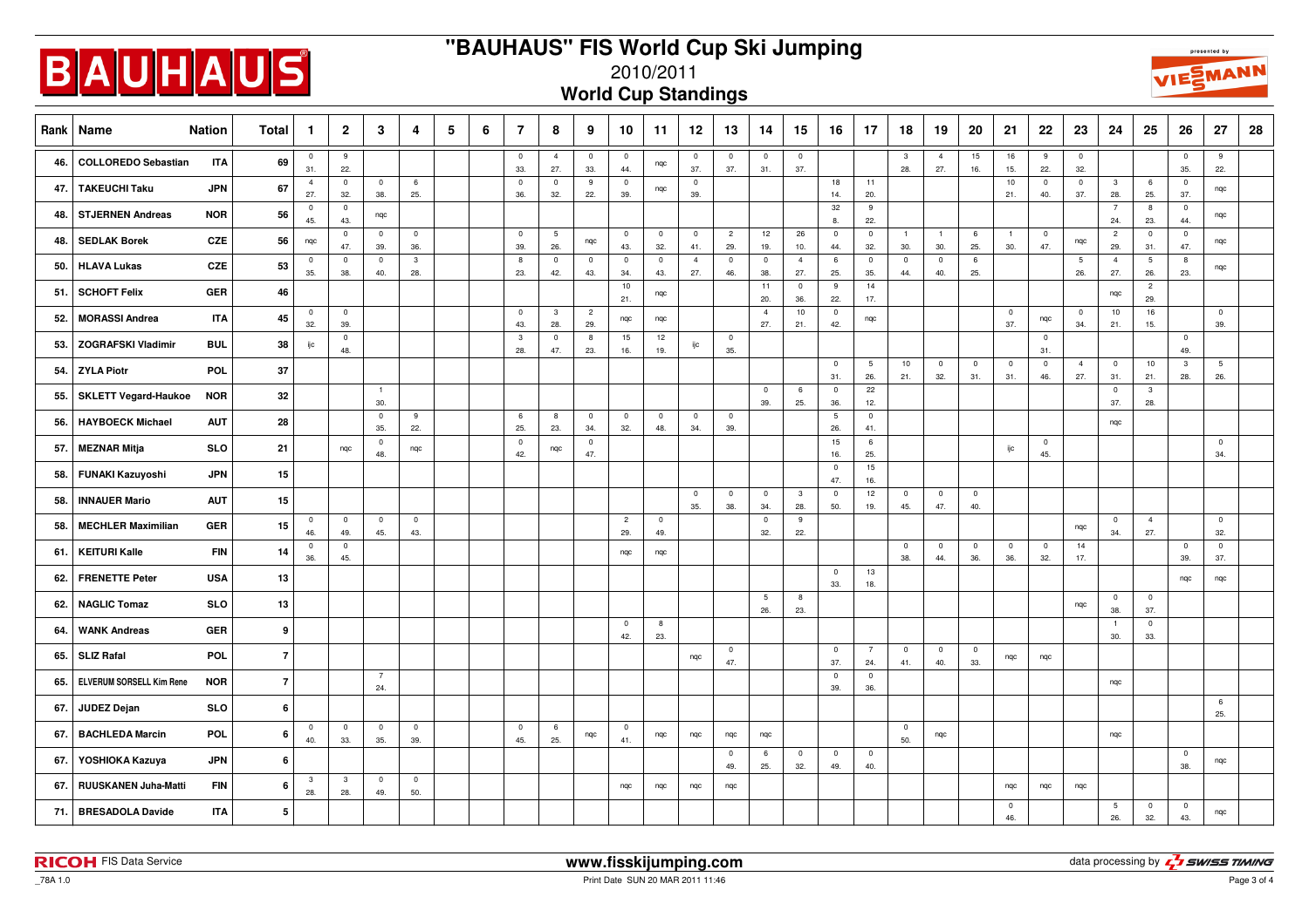

## **"BAUHAUS" FIS World Cup Ski Jumping**





2010/2011

|  | <b>World Cup Standings</b> |  |
|--|----------------------------|--|
|  |                            |  |

| Rank | Name                        | <b>Nation</b> | <b>Total</b>   | -1                    | $\overline{2}$        | 3                     | 4                   | 5 | 6 | 7                              | 8                     | 9                     | 10                             | 11                    | 12                    | 13                    | 14                             | 15                             | 16                             | 17                             | 18                    | 19                    | 20                    | 21                             | 22                    | 23                             | 24                             | 25                     | 26                             | 27                    | 28 |
|------|-----------------------------|---------------|----------------|-----------------------|-----------------------|-----------------------|---------------------|---|---|--------------------------------|-----------------------|-----------------------|--------------------------------|-----------------------|-----------------------|-----------------------|--------------------------------|--------------------------------|--------------------------------|--------------------------------|-----------------------|-----------------------|-----------------------|--------------------------------|-----------------------|--------------------------------|--------------------------------|------------------------|--------------------------------|-----------------------|----|
| 46.  | <b>COLLOREDO Sebastian</b>  | <b>ITA</b>    | 69             | 0<br>31.              | 9<br>22.              |                       |                     |   |   | $\overline{\mathbf{0}}$<br>33. | $\overline{4}$<br>27. | $\mathbf 0$<br>33.    | $\overline{\mathbf{0}}$<br>44. | nqc                   | $\mathbf 0$<br>37.    | $\mathbf 0$<br>37.    | $\pmb{0}$<br>31.               | $\overline{\mathbf{0}}$<br>37. |                                |                                | $\mathbf{3}$<br>28.   | $\overline{4}$<br>27. | $15\,$<br>16.         | 16<br>15.                      | 9<br>22.              | $\overline{\mathbf{0}}$<br>32. |                                |                        | $\overline{\mathbf{0}}$<br>35. | 9<br>22.              |    |
| 47.  | <b>TAKEUCHI Taku</b>        | <b>JPN</b>    | 67             | $\overline{4}$<br>27. | $\mathbf 0$<br>32.    | $\mathbf 0$<br>38.    | 6<br>25.            |   |   | $\overline{0}$<br>36.          | $\overline{0}$<br>32. | 9<br>22.              | $\overline{0}$<br>39.          | nqc                   | $\overline{0}$<br>39. |                       |                                |                                | 18<br>14.                      | 11<br>20.                      |                       |                       |                       | 10<br>21.                      | $\mathbf 0$<br>40.    | $\overline{0}$<br>37.          | $\overline{\mathbf{3}}$<br>28. | 6<br>25.               | $\overline{0}$<br>37.          | ngc                   |    |
| 48.  | <b>STJERNEN Andreas</b>     | <b>NOR</b>    | 56             | $\pmb{0}$<br>45.      | $\mathbf 0$<br>43.    | nqc                   |                     |   |   |                                |                       |                       |                                |                       |                       |                       |                                |                                | 32<br>8.                       | 9<br>22.                       |                       |                       |                       |                                |                       |                                | $\overline{7}$<br>24.          | 8<br>23.               | $\overline{0}$<br>44.          | nqc                   |    |
| 48.  | <b>SEDLAK Borek</b>         | CZE           | 56             | nqc                   | $\overline{0}$<br>47. | $\overline{0}$<br>39. | $\mathsf{O}$<br>36. |   |   | $\overline{0}$<br>39.          | $\,$ 5 $\,$<br>26.    | nqc                   | $\overline{0}$<br>43.          | $\overline{0}$<br>32. | $\overline{0}$<br>41. | $\overline{c}$<br>29. | 12<br>19.                      | 26<br>10.                      | $\mathbf 0$<br>44.             | $\mathbb O$<br>32.             | $\overline{1}$<br>30. | $\overline{1}$<br>30. | 6<br>25.              | $\overline{1}$<br>30.          | $\mathbf 0$<br>47.    | nqc                            | $\overline{c}$<br>29.          | $\overline{0}$<br>31.  | $\mathbb O$<br>47.             | nqc                   |    |
| 50.  | <b>HLAVA Lukas</b>          | <b>CZE</b>    | 53             | $\mathbf 0$<br>35.    | $\mathbf 0$<br>38.    | $\mathbb O$<br>40.    | $_{\rm 3}$<br>28.   |   |   | 8<br>23.                       | $\mathbf 0$<br>42.    | $\overline{0}$<br>43. | $\mathbf 0$<br>34.             | $\mathbf 0$<br>43.    | $\overline{4}$<br>27. | $\mathbf 0$<br>46.    | $\overline{\mathbf{0}}$<br>38. | $\overline{4}$<br>27.          | 6<br>25.                       | $\mathbf 0$<br>35.             | $\mathbf 0$<br>44.    | $\mathbf 0$<br>40.    | 6<br>25.              |                                |                       | $5\phantom{.0}$<br>26.         | $\overline{4}$<br>27.          | $5\phantom{.0}$<br>26. | $^8$<br>23.                    | nqc                   |    |
| 51.  | <b>SCHOFT Felix</b>         | <b>GER</b>    | 46             |                       |                       |                       |                     |   |   |                                |                       |                       | 10<br>21.                      | nqc                   |                       |                       | 11<br>20.                      | $\overline{0}$<br>36.          | 9<br>22.                       | 14<br>17.                      |                       |                       |                       |                                |                       |                                | nqc                            | $\overline{c}$<br>29.  |                                |                       |    |
| 52.  | <b>MORASSI Andrea</b>       | <b>ITA</b>    | 45             | $\mathbf 0$<br>32.    | $\mathbf 0$<br>39.    |                       |                     |   |   | $\overline{0}$<br>43.          | $\mathbf{3}$<br>28.   | $\overline{c}$<br>29. | nqc                            | nqc                   |                       |                       | $\overline{4}$<br>27.          | 10<br>21.                      | $\pmb{0}$<br>42.               | nqc                            |                       |                       |                       | $\overline{\mathbf{0}}$<br>37. | nqc                   | $\overline{\mathbf{0}}$<br>34. | 10<br>21.                      | 16<br>15.              |                                | $\mathbf 0$<br>39.    |    |
| 53.  | <b>ZOGRAFSKI Vladimir</b>   | <b>BUL</b>    | 38             | ijc                   | $\mathbf 0$<br>48.    |                       |                     |   |   | $\overline{3}$<br>28.          | $\mathbf 0$<br>47.    | 8<br>23.              | 15<br>16.                      | 12<br>19.             | ijc                   | $\overline{0}$<br>35. |                                |                                |                                |                                |                       |                       |                       |                                | $\mathbf{0}$<br>31.   |                                |                                |                        | $\mathbf 0$<br>49.             |                       |    |
| 54.  | <b>ZYLA Piotr</b>           | POL           | 37             |                       |                       |                       |                     |   |   |                                |                       |                       |                                |                       |                       |                       |                                |                                | $\mathbf 0$<br>31.             | $5\phantom{.0}$<br>26.         | 10<br>21.             | $\overline{0}$<br>32. | $\pmb{0}$<br>31.      | $\overline{\mathbf{0}}$<br>31. | $\circ$<br>46.        | $\overline{4}$<br>27.          | $\overline{0}$<br>31.          | 10<br>21.              | $\overline{\mathbf{3}}$<br>28. | 5<br>26.              |    |
| 55.  | <b>SKLETT Vegard-Haukoe</b> | <b>NOR</b>    | 32             |                       |                       | $\overline{1}$<br>30. |                     |   |   |                                |                       |                       |                                |                       |                       |                       | $\overline{\mathbf{0}}$<br>39. | 6<br>25.                       | $\overline{\mathbf{0}}$<br>36. | 22<br>12.                      |                       |                       |                       |                                |                       |                                | $\overline{0}$<br>37.          | $\mathbf{3}$<br>28.    |                                |                       |    |
| 56.  | <b>HAYBOECK Michael</b>     | <b>AUT</b>    | 28             |                       |                       | $\mathbf 0$<br>35.    | 9<br>22.            |   |   | 6<br>25.                       | 8<br>23.              | $\mathbf 0$<br>34.    | $\mathbf 0$<br>32.             | $\mathbf 0$<br>48.    | $\overline{0}$<br>34. | $\overline{0}$<br>39. |                                |                                | 5<br>26.                       | $\overline{\mathbf{0}}$<br>41. |                       |                       |                       |                                |                       |                                | ngc                            |                        |                                |                       |    |
| 57.  | <b>MEZNAR Mitja</b>         | <b>SLO</b>    | 21             |                       | ngc                   | $\mathbf 0$<br>48.    | ngc                 |   |   | $\overline{0}$<br>42.          | ngc                   | $\overline{0}$<br>47. |                                |                       |                       |                       |                                |                                | 15<br>16.                      | $6\phantom{a}$<br>25.          |                       |                       |                       | ijс                            | $\mathbf{0}$<br>45.   |                                |                                |                        |                                | $\overline{0}$<br>34. |    |
| 58.  | <b>FUNAKI Kazuyoshi</b>     | <b>JPN</b>    | 15             |                       |                       |                       |                     |   |   |                                |                       |                       |                                |                       |                       |                       |                                |                                | $\overline{\mathbf{0}}$<br>47. | 15<br>16.                      |                       |                       |                       |                                |                       |                                |                                |                        |                                |                       |    |
| 58.  | <b>INNAUER Mario</b>        | <b>AUT</b>    | 15             |                       |                       |                       |                     |   |   |                                |                       |                       |                                |                       | $\mathbf 0$<br>35.    | $\mathbf 0$<br>38.    | $\overline{\mathbf{0}}$<br>34. | $\mathbf{3}$<br>28.            | $\mathbf 0$<br>50.             | 12<br>19.                      | $\mathbf 0$<br>45.    | $\overline{0}$<br>47. | $\mathbf 0$<br>40.    |                                |                       |                                |                                |                        |                                |                       |    |
| 58.  | <b>MECHLER Maximilian</b>   | <b>GER</b>    | 15             | $\pmb{0}$<br>46.      | $\overline{0}$<br>49. | $\mathbf 0$<br>45.    | $\mathbf 0$<br>43.  |   |   |                                |                       |                       | $\overline{2}$<br>29.          | $\circ$<br>49.        |                       |                       | $\overline{0}$<br>32.          | 9<br>22.                       |                                |                                |                       |                       |                       |                                |                       | ngc                            | $\overline{0}$<br>34.          | $\overline{4}$<br>27.  |                                | $\overline{0}$<br>32. |    |
| 61.  | <b>KEITURI Kalle</b>        | <b>FIN</b>    | 14             | $\mathsf 0$<br>36.    | $\mathsf{O}$<br>45.   |                       |                     |   |   |                                |                       |                       | nqc                            | nqc                   |                       |                       |                                |                                |                                |                                | $\mathbf 0$<br>38.    | $\overline{0}$<br>44. | $\mathbf 0$<br>36.    | $\overline{0}$<br>36.          | $\overline{0}$<br>32. | 14<br>17.                      |                                |                        | $\overline{0}$<br>39.          | $\circ$<br>37.        |    |
| 62.  | <b>FRENETTE Peter</b>       | <b>USA</b>    | 13             |                       |                       |                       |                     |   |   |                                |                       |                       |                                |                       |                       |                       |                                |                                | $\mathbf 0$<br>33.             | 13<br>18.                      |                       |                       |                       |                                |                       |                                |                                |                        | ngc                            | ngc                   |    |
| 62.  | <b>NAGLIC Tomaz</b>         | <b>SLO</b>    | 13             |                       |                       |                       |                     |   |   |                                |                       |                       |                                |                       |                       |                       | $5\phantom{.0}$<br>26.         | 8<br>23.                       |                                |                                |                       |                       |                       |                                |                       | nqc                            | $\overline{0}$<br>38.          | $\mathbf 0$<br>37.     |                                |                       |    |
| 64.  | <b>WANK Andreas</b>         | <b>GER</b>    | 9              |                       |                       |                       |                     |   |   |                                |                       |                       | $\mathbf 0$<br>42.             | 8<br>23.              |                       |                       |                                |                                |                                |                                |                       |                       |                       |                                |                       |                                | $\overline{1}$<br>30.          | $\mathbf 0$<br>33.     |                                |                       |    |
| 65.  | <b>SLIZ Rafal</b>           | POL           | $\overline{7}$ |                       |                       |                       |                     |   |   |                                |                       |                       |                                |                       | ngc                   | $\overline{0}$<br>47. |                                |                                | $\mathbf 0$<br>37.             | $\overline{7}$<br>24.          | $\mathbf 0$<br>41.    | $\overline{0}$<br>40. | $\overline{0}$<br>33. | ngc                            | ngc                   |                                |                                |                        |                                |                       |    |
| 65.  | ELVERUM SORSELL Kim Rene    | <b>NOR</b>    | $\overline{7}$ |                       |                       | $\overline{7}$<br>24. |                     |   |   |                                |                       |                       |                                |                       |                       |                       |                                |                                | $\pmb{0}$<br>39.               | $\overline{\mathbf{0}}$<br>36. |                       |                       |                       |                                |                       |                                | nqc                            |                        |                                |                       |    |
| 67.  | JUDEZ Dejan                 | <b>SLO</b>    | 6              |                       |                       |                       |                     |   |   |                                |                       |                       |                                |                       |                       |                       |                                |                                |                                |                                |                       |                       |                       |                                |                       |                                |                                |                        |                                | 6<br>25.              |    |
| 67.  | <b>BACHLEDA Marcin</b>      | <b>POL</b>    | 6              | $\pmb{0}$<br>40.      | $\mathbf{0}$<br>33.   | $\mathbf 0$<br>35.    | $\mathbf 0$<br>39.  |   |   | $\overline{0}$<br>45.          | 6<br>25.              | nqc                   | $\overline{0}$<br>41.          | nqc                   | ngc                   | nqc                   | ngc                            |                                |                                |                                | $\overline{0}$<br>50. | ngc                   |                       |                                |                       |                                | ngc                            |                        |                                |                       |    |
| 67.  | YOSHIOKA Kazuya             | <b>JPN</b>    | 6              |                       |                       |                       |                     |   |   |                                |                       |                       |                                |                       |                       | $\overline{0}$<br>49. | 6<br>25.                       | $\overline{0}$<br>32.          | $\overline{0}$<br>49.          | $\overline{0}$<br>40.          |                       |                       |                       |                                |                       |                                |                                |                        | $\overline{0}$<br>38.          | nqc                   |    |
| 67.  | <b>RUUSKANEN Juha-Matti</b> | <b>FIN</b>    | 6              | $\mathbf{3}$<br>28.   | 3<br>28.              | $\overline{0}$<br>49. | $\mathbf 0$<br>50.  |   |   |                                |                       |                       | nqc                            | nqc                   | nqc                   | nqc                   |                                |                                |                                |                                |                       |                       |                       | nqc                            | nqc                   | nqc                            |                                |                        |                                |                       |    |
| 71.  | <b>BRESADOLA Davide</b>     | <b>ITA</b>    | 5              |                       |                       |                       |                     |   |   |                                |                       |                       |                                |                       |                       |                       |                                |                                |                                |                                |                       |                       |                       | $\overline{0}$<br>46.          |                       |                                | $\overline{5}$<br>26.          | $\mathbf 0$<br>32.     | $\overline{0}$<br>43.          | nqc                   |    |

\_78A 1.0